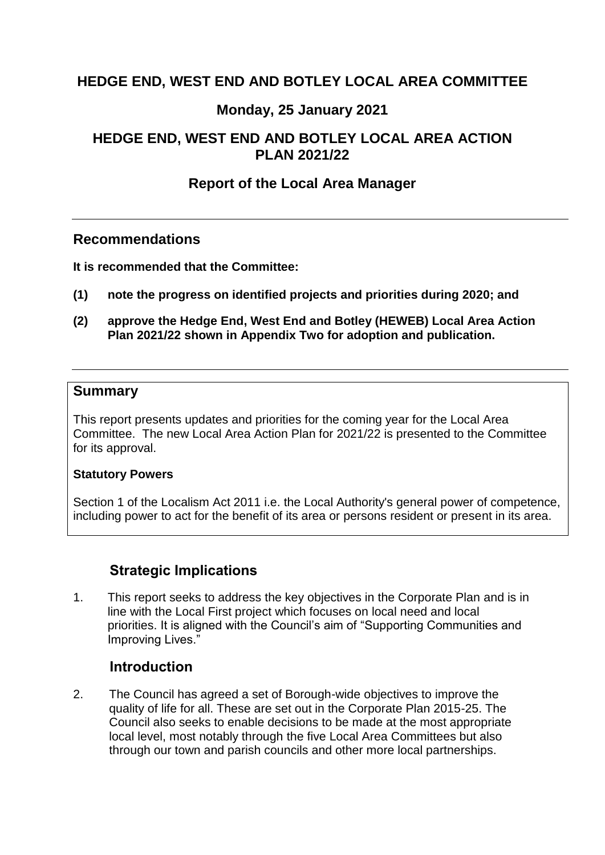## **HEDGE END, WEST END AND BOTLEY LOCAL AREA COMMITTEE**

## **Monday, 25 January 2021**

# <span id="page-0-0"></span>**HEDGE END, WEST END AND BOTLEY LOCAL AREA ACTION PLAN 2021/22**

## **Report of the [Local Area Manager](#page-0-0)**

#### **Recommendations**

<span id="page-0-1"></span>**[It is recommended that](#page-0-1) the Committee:**

- **(1) note the progress on identified projects and priorities during 2020; and**
- **(2) approve the Hedge End, West End and Botley (HEWEB) Local Area Action Plan 2021/22 shown in Appendix Two for adoption and publication.**

#### <span id="page-0-2"></span>**[Summary](#page-0-2)**

This report presents updates and priorities for the coming year for the Local Area Committee. The new Local Area Action Plan for 2021/22 is presented to the Committee for its approval.

#### <span id="page-0-3"></span>**[Statutory Powers](#page-0-3)**

Section 1 of the Localism Act 2011 i.e. the Local Authority's general power of competence, including power to act for the benefit of its area or persons resident or present in its area.

# **Strategic Implications**

<span id="page-0-4"></span>1. This report seeks to address the key objectives in the Corporate Plan and is in line with the Local First project which focuses on local need and local priorities. It is aligned with the Council's aim of "Supporting Communities and Improving Lives."

### **[Introduction](#page-0-4)**

2. The Council has agreed a set of Borough-wide objectives to improve the quality of life for all. These are set out in the Corporate Plan 2015-25. The Council also seeks to enable decisions to be made at the most appropriate local level, most notably through the five Local Area Committees but also through our town and parish councils and other more local partnerships.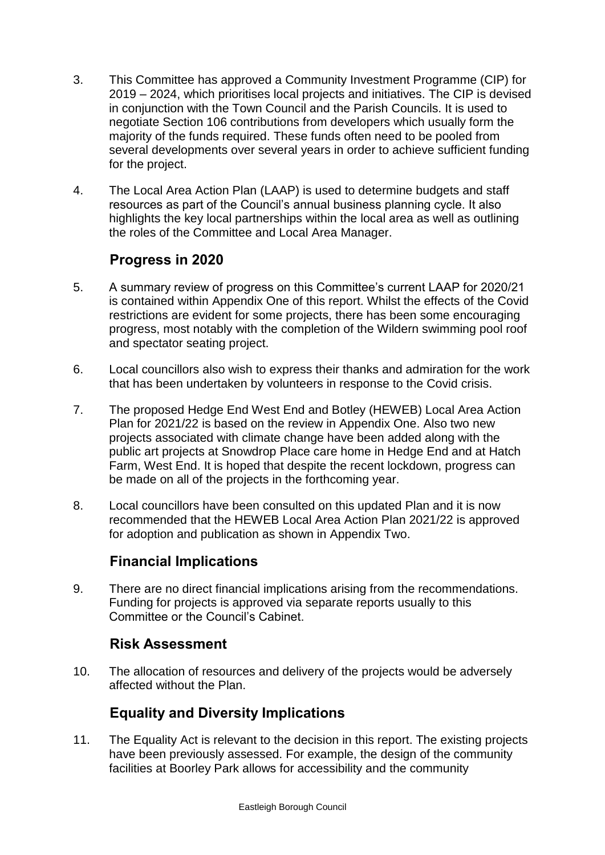- 3. This Committee has approved a Community Investment Programme (CIP) for 2019 – 2024, which prioritises local projects and initiatives. The CIP is devised in conjunction with the Town Council and the Parish Councils. It is used to negotiate Section 106 contributions from developers which usually form the majority of the funds required. These funds often need to be pooled from several developments over several years in order to achieve sufficient funding for the project.
- 4. The Local Area Action Plan (LAAP) is used to determine budgets and staff resources as part of the Council's annual business planning cycle. It also highlights the key local partnerships within the local area as well as outlining the roles of the Committee and Local Area Manager.

# **Progress in 2020**

- 5. A summary review of progress on this Committee's current LAAP for 2020/21 is contained within Appendix One of this report. Whilst the effects of the Covid restrictions are evident for some projects, there has been some encouraging progress, most notably with the completion of the Wildern swimming pool roof and spectator seating project.
- 6. Local councillors also wish to express their thanks and admiration for the work that has been undertaken by volunteers in response to the Covid crisis.
- 7. The proposed Hedge End West End and Botley (HEWEB) Local Area Action Plan for 2021/22 is based on the review in Appendix One. Also two new projects associated with climate change have been added along with the public art projects at Snowdrop Place care home in Hedge End and at Hatch Farm, West End. It is hoped that despite the recent lockdown, progress can be made on all of the projects in the forthcoming year.
- 8. Local councillors have been consulted on this updated Plan and it is now recommended that the HEWEB Local Area Action Plan 2021/22 is approved for adoption and publication as shown in Appendix Two.

# **[Financial Implications](#page-1-0)**

<span id="page-1-0"></span>9. There are no direct financial implications arising from the recommendations. Funding for projects is approved via separate reports usually to this Committee or the Council's Cabinet.

### **[Risk Assessment](#page-1-1)**

<span id="page-1-1"></span>10. The allocation of resources and delivery of the projects would be adversely affected without the Plan.

# **[Equality and Diversity Implications](#page-1-2)**

<span id="page-1-2"></span>11. The Equality Act is relevant to the decision in this report. The existing projects have been previously assessed. For example, the design of the community facilities at Boorley Park allows for accessibility and the community